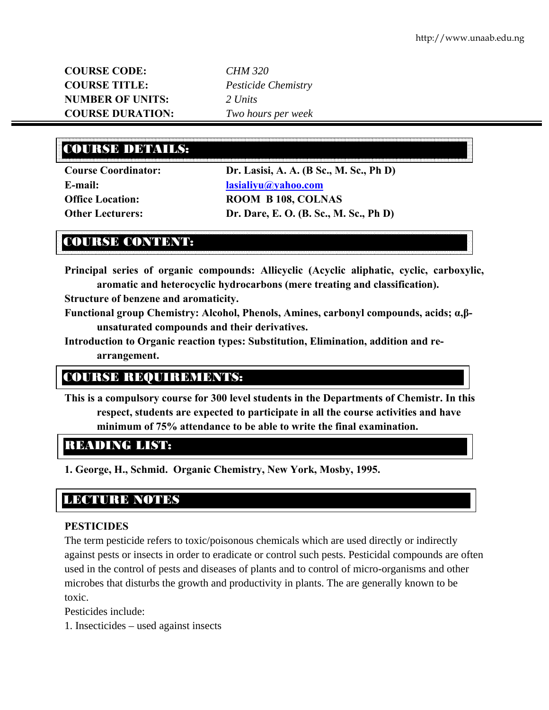**COURSE CODE:** *CHM 320* **COURSE TITLE:** *Pesticide Chemistry*  **NUMBER OF UNITS:** *2 Units*  **COURSE DURATION:** *Two hours per week* 

# COURSE DETAILS:

**Course Coordinator: Dr. Lasisi, A. A. (B Sc., M. Sc., Ph D) E-mail: lasialiyu@yahoo.com Office Location: ROOM B 108, COLNAS Other Lecturers: Dr. Dare, E. O. (B. Sc., M. Sc., Ph D)** 

# COURSE CONTENT:

**Principal series of organic compounds: Allicyclic (Acyclic aliphatic, cyclic, carboxylic, aromatic and heterocyclic hydrocarbons (mere treating and classification).** 

**Structure of benzene and aromaticity.** 

- **Functional group Chemistry: Alcohol, Phenols, Amines, carbonyl compounds, acids; α,βunsaturated compounds and their derivatives.**
- **Introduction to Organic reaction types: Substitution, Elimination, addition and rearrangement.**

## COURSE REQUIREMENTS:

**This is a compulsory course for 300 level students in the Departments of Chemistr. In this respect, students are expected to participate in all the course activities and have minimum of 75% attendance to be able to write the final examination.** 

## READING LIST:

**1. George, H., Schmid. Organic Chemistry, New York, Mosby, 1995.** 

## LECTURE NOTES

#### **PESTICIDES**

The term pesticide refers to toxic/poisonous chemicals which are used directly or indirectly against pests or insects in order to eradicate or control such pests. Pesticidal compounds are often used in the control of pests and diseases of plants and to control of micro-organisms and other microbes that disturbs the growth and productivity in plants. The are generally known to be toxic.

Pesticides include:

1. Insecticides – used against insects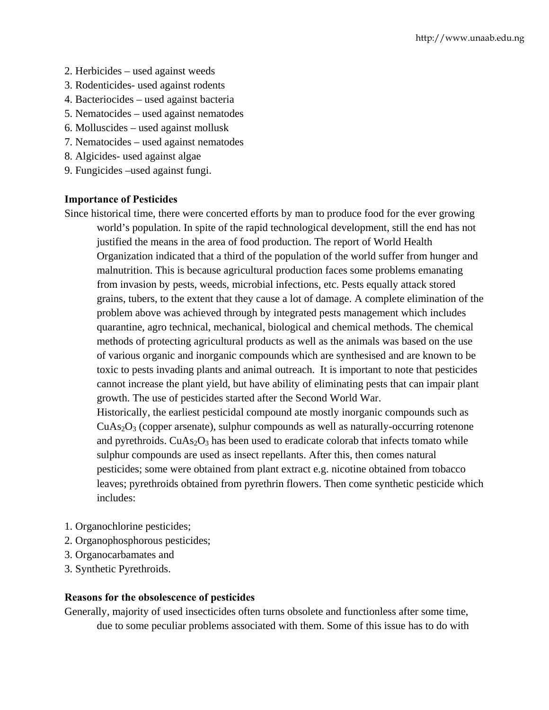- 2. Herbicides used against weeds
- 3. Rodenticides- used against rodents
- 4. Bacteriocides used against bacteria
- 5. Nematocides used against nematodes
- 6. Molluscides used against mollusk
- 7. Nematocides used against nematodes
- 8. Algicides- used against algae
- 9. Fungicides –used against fungi.

#### **Importance of Pesticides**

Since historical time, there were concerted efforts by man to produce food for the ever growing world's population. In spite of the rapid technological development, still the end has not justified the means in the area of food production. The report of World Health Organization indicated that a third of the population of the world suffer from hunger and malnutrition. This is because agricultural production faces some problems emanating from invasion by pests, weeds, microbial infections, etc. Pests equally attack stored grains, tubers, to the extent that they cause a lot of damage. A complete elimination of the problem above was achieved through by integrated pests management which includes quarantine, agro technical, mechanical, biological and chemical methods. The chemical methods of protecting agricultural products as well as the animals was based on the use of various organic and inorganic compounds which are synthesised and are known to be toxic to pests invading plants and animal outreach. It is important to note that pesticides cannot increase the plant yield, but have ability of eliminating pests that can impair plant growth. The use of pesticides started after the Second World War. Historically, the earliest pesticidal compound ate mostly inorganic compounds such as  $CuAs<sub>2</sub>O<sub>3</sub>$  (copper arsenate), sulphur compounds as well as naturally-occurring rotenone and pyrethroids.  $CuAs<sub>2</sub>O<sub>3</sub>$  has been used to eradicate colorab that infects tomato while sulphur compounds are used as insect repellants. After this, then comes natural pesticides; some were obtained from plant extract e.g. nicotine obtained from tobacco leaves; pyrethroids obtained from pyrethrin flowers. Then come synthetic pesticide which includes:

- 1. Organochlorine pesticides;
- 2. Organophosphorous pesticides;
- 3. Organocarbamates and
- 3. Synthetic Pyrethroids.

#### **Reasons for the obsolescence of pesticides**

Generally, majority of used insecticides often turns obsolete and functionless after some time, due to some peculiar problems associated with them. Some of this issue has to do with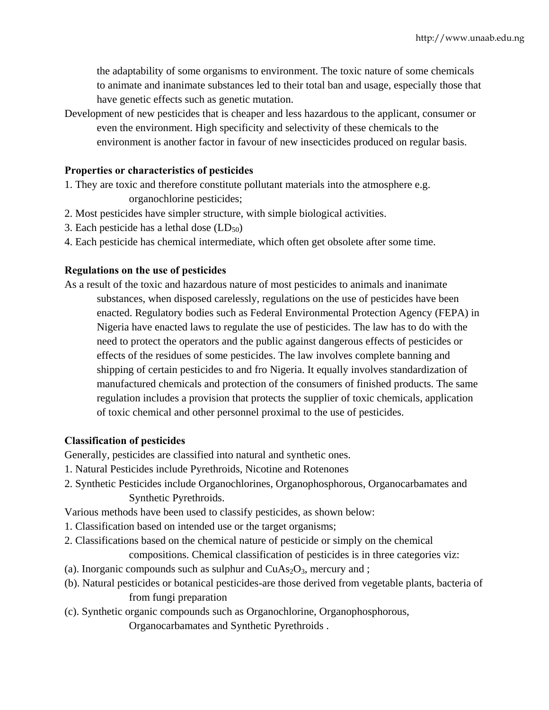the adaptability of some organisms to environment. The toxic nature of some chemicals to animate and inanimate substances led to their total ban and usage, especially those that have genetic effects such as genetic mutation.

Development of new pesticides that is cheaper and less hazardous to the applicant, consumer or even the environment. High specificity and selectivity of these chemicals to the environment is another factor in favour of new insecticides produced on regular basis.

### **Properties or characteristics of pesticides**

- 1. They are toxic and therefore constitute pollutant materials into the atmosphere e.g. organochlorine pesticides;
- 2. Most pesticides have simpler structure, with simple biological activities.
- 3. Each pesticide has a lethal dose  $(LD_{50})$
- 4. Each pesticide has chemical intermediate, which often get obsolete after some time.

### **Regulations on the use of pesticides**

As a result of the toxic and hazardous nature of most pesticides to animals and inanimate substances, when disposed carelessly, regulations on the use of pesticides have been enacted. Regulatory bodies such as Federal Environmental Protection Agency (FEPA) in Nigeria have enacted laws to regulate the use of pesticides. The law has to do with the need to protect the operators and the public against dangerous effects of pesticides or effects of the residues of some pesticides. The law involves complete banning and shipping of certain pesticides to and fro Nigeria. It equally involves standardization of manufactured chemicals and protection of the consumers of finished products. The same regulation includes a provision that protects the supplier of toxic chemicals, application of toxic chemical and other personnel proximal to the use of pesticides.

#### **Classification of pesticides**

Generally, pesticides are classified into natural and synthetic ones.

- 1. Natural Pesticides include Pyrethroids, Nicotine and Rotenones
- 2. Synthetic Pesticides include Organochlorines, Organophosphorous, Organocarbamates and Synthetic Pyrethroids.

Various methods have been used to classify pesticides, as shown below:

- 1. Classification based on intended use or the target organisms;
- 2. Classifications based on the chemical nature of pesticide or simply on the chemical compositions. Chemical classification of pesticides is in three categories viz:
- (a). Inorganic compounds such as sulphur and  $CuAs<sub>2</sub>O<sub>3</sub>$ , mercury and ;
- (b). Natural pesticides or botanical pesticides-are those derived from vegetable plants, bacteria of from fungi preparation
- (c). Synthetic organic compounds such as Organochlorine, Organophosphorous,

Organocarbamates and Synthetic Pyrethroids .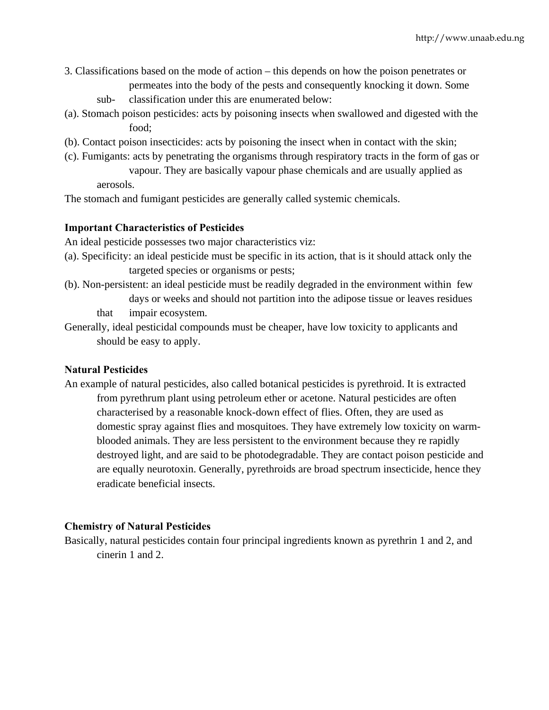- 3. Classifications based on the mode of action this depends on how the poison penetrates or permeates into the body of the pests and consequently knocking it down. Some
	- sub- classification under this are enumerated below:
- (a). Stomach poison pesticides: acts by poisoning insects when swallowed and digested with the food;
- (b). Contact poison insecticides: acts by poisoning the insect when in contact with the skin;
- (c). Fumigants: acts by penetrating the organisms through respiratory tracts in the form of gas or vapour. They are basically vapour phase chemicals and are usually applied as aerosols.

The stomach and fumigant pesticides are generally called systemic chemicals.

### **Important Characteristics of Pesticides**

An ideal pesticide possesses two major characteristics viz:

- (a). Specificity: an ideal pesticide must be specific in its action, that is it should attack only the targeted species or organisms or pests;
- (b). Non-persistent: an ideal pesticide must be readily degraded in the environment within few days or weeks and should not partition into the adipose tissue or leaves residues that impair ecosystem.
- Generally, ideal pesticidal compounds must be cheaper, have low toxicity to applicants and should be easy to apply.

## **Natural Pesticides**

An example of natural pesticides, also called botanical pesticides is pyrethroid. It is extracted from pyrethrum plant using petroleum ether or acetone. Natural pesticides are often characterised by a reasonable knock-down effect of flies. Often, they are used as domestic spray against flies and mosquitoes. They have extremely low toxicity on warmblooded animals. They are less persistent to the environment because they re rapidly destroyed light, and are said to be photodegradable. They are contact poison pesticide and are equally neurotoxin. Generally, pyrethroids are broad spectrum insecticide, hence they eradicate beneficial insects.

## **Chemistry of Natural Pesticides**

Basically, natural pesticides contain four principal ingredients known as pyrethrin 1 and 2, and cinerin 1 and 2.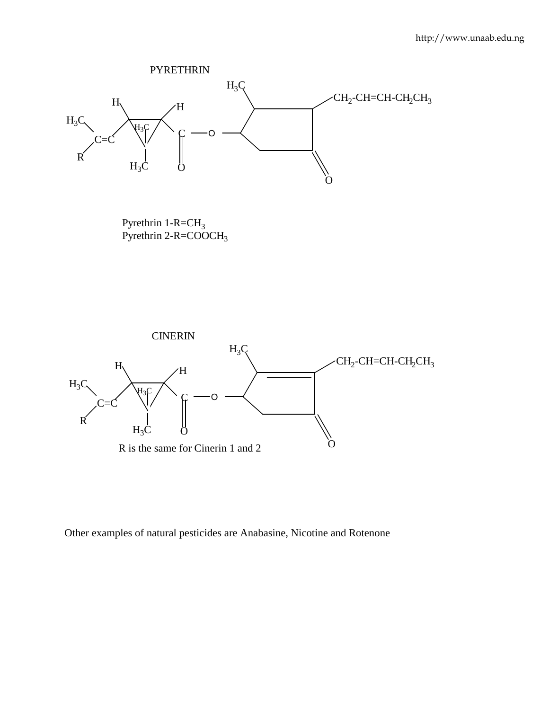

Pyrethrin  $1-R=CH<sub>3</sub>$ Pyrethrin 2-R=COOCH3



Other examples of natural pesticides are Anabasine, Nicotine and Rotenone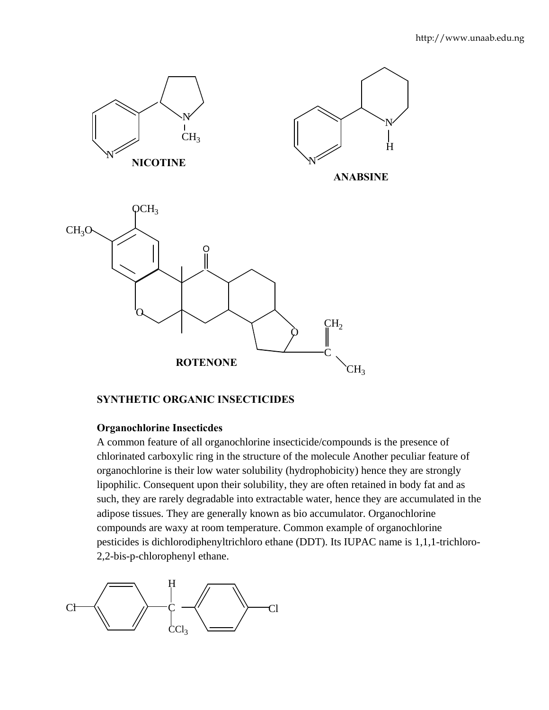

## **SYNTHETIC ORGANIC INSECTICIDES**

## **Organochlorine Insecticdes**

 A common feature of all organochlorine insecticide/compounds is the presence of chlorinated carboxylic ring in the structure of the molecule Another peculiar feature of organochlorine is their low water solubility (hydrophobicity) hence they are strongly lipophilic. Consequent upon their solubility, they are often retained in body fat and as such, they are rarely degradable into extractable water, hence they are accumulated in the adipose tissues. They are generally known as bio accumulator. Organochlorine compounds are waxy at room temperature. Common example of organochlorine pesticides is dichlorodiphenyltrichloro ethane (DDT). Its IUPAC name is 1,1,1-trichloro-2,2-bis-p-chlorophenyl ethane.

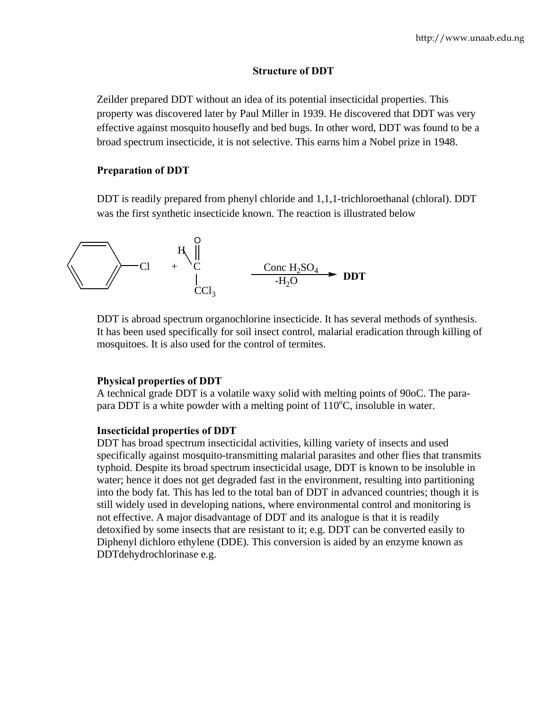#### **Structure of DDT**

 Zeilder prepared DDT without an idea of its potential insecticidal properties. This property was discovered later by Paul Miller in 1939. He discovered that DDT was very effective against mosquito housefly and bed bugs. In other word, DDT was found to be a broad spectrum insecticide, it is not selective. This earns him a Nobel prize in 1948.

#### **Preparation of DDT**

DDT is readily prepared from phenyl chloride and 1,1,1-trichloroethanal (chloral). DDT was the first synthetic insecticide known. The reaction is illustrated below

$$
\begin{array}{ccc}\n & H & \parallel \\
\hline\n & C1 & + C & \text{Cone H}_2SO_4 \\
 & C1 & \text{CCl}_3 & \text{CCl}_3 & \text{DDT}\n\end{array}
$$

 DDT is abroad spectrum organochlorine insecticide. It has several methods of synthesis. It has been used specifically for soil insect control, malarial eradication through killing of mosquitoes. It is also used for the control of termites.

## **Physical properties of DDT**

A technical grade DDT is a volatile waxy solid with melting points of 90oC. The parapara DDT is a white powder with a melting point of  $110^{\circ}$ C, insoluble in water.

#### **Insecticidal properties of DDT**

DDT has broad spectrum insecticidal activities, killing variety of insects and used specifically against mosquito-transmitting malarial parasites and other flies that transmits typhoid. Despite its broad spectrum insecticidal usage, DDT is known to be insoluble in water; hence it does not get degraded fast in the environment, resulting into partitioning into the body fat. This has led to the total ban of DDT in advanced countries; though it is still widely used in developing nations, where environmental control and monitoring is not effective. A major disadvantage of DDT and its analogue is that it is readily detoxified by some insects that are resistant to it; e.g. DDT can be converted easily to Diphenyl dichloro ethylene (DDE). This conversion is aided by an enzyme known as DDTdehydrochlorinase e.g.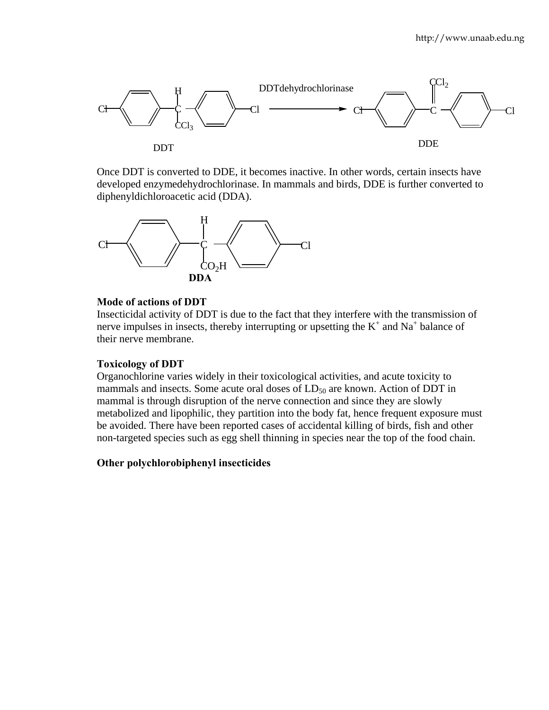

 Once DDT is converted to DDE, it becomes inactive. In other words, certain insects have developed enzymedehydrochlorinase. In mammals and birds, DDE is further converted to diphenyldichloroacetic acid (DDA).



#### **Mode of actions of DDT**

 Insecticidal activity of DDT is due to the fact that they interfere with the transmission of nerve impulses in insects, thereby interrupting or upsetting the  $K^+$  and  $Na^+$  balance of their nerve membrane.

#### **Toxicology of DDT**

Organochlorine varies widely in their toxicological activities, and acute toxicity to mammals and insects. Some acute oral doses of  $LD_{50}$  are known. Action of DDT in mammal is through disruption of the nerve connection and since they are slowly metabolized and lipophilic, they partition into the body fat, hence frequent exposure must be avoided. There have been reported cases of accidental killing of birds, fish and other non-targeted species such as egg shell thinning in species near the top of the food chain.

#### **Other polychlorobiphenyl insecticides**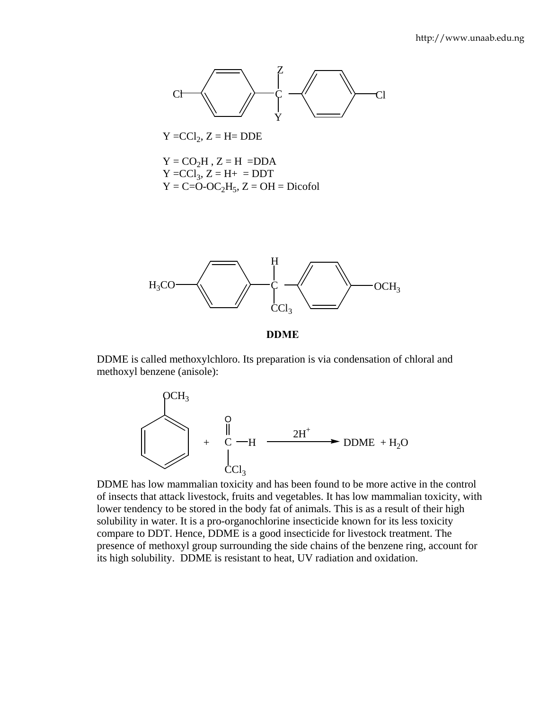

 $Y = CCl_2, Z = H = DDE$ 

 $Y = CO<sub>2</sub>H$ ,  $Z = H = DDA$  $Y = CCl_3, Z = H_+ = DDT$  $Y = C=O-OC<sub>2</sub>H<sub>5</sub>, Z = OH = Dicofol$ 



**DDME** 

DDME is called methoxylchloro. Its preparation is via condensation of chloral and methoxyl benzene (anisole):



 DDME has low mammalian toxicity and has been found to be more active in the control of insects that attack livestock, fruits and vegetables. It has low mammalian toxicity, with lower tendency to be stored in the body fat of animals. This is as a result of their high solubility in water. It is a pro-organochlorine insecticide known for its less toxicity compare to DDT. Hence, DDME is a good insecticide for livestock treatment. The presence of methoxyl group surrounding the side chains of the benzene ring, account for its high solubility. DDME is resistant to heat, UV radiation and oxidation.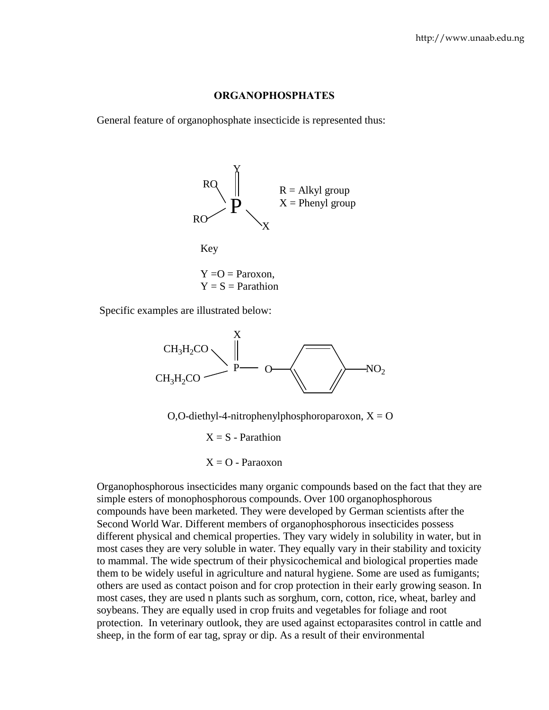#### **ORGANOPHOSPHATES**

General feature of organophosphate insecticide is represented thus:



Specific examples are illustrated below:



O,O-diethyl-4-nitrophenylphosphoroparoxon,  $X = O$ 

 $X = S$  - Parathion  $X = O$  - Paraoxon

 Organophosphorous insecticides many organic compounds based on the fact that they are simple esters of monophosphorous compounds. Over 100 organophosphorous compounds have been marketed. They were developed by German scientists after the Second World War. Different members of organophosphorous insecticides possess different physical and chemical properties. They vary widely in solubility in water, but in most cases they are very soluble in water. They equally vary in their stability and toxicity to mammal. The wide spectrum of their physicochemical and biological properties made them to be widely useful in agriculture and natural hygiene. Some are used as fumigants; others are used as contact poison and for crop protection in their early growing season. In most cases, they are used n plants such as sorghum, corn, cotton, rice, wheat, barley and soybeans. They are equally used in crop fruits and vegetables for foliage and root protection. In veterinary outlook, they are used against ectoparasites control in cattle and sheep, in the form of ear tag, spray or dip. As a result of their environmental